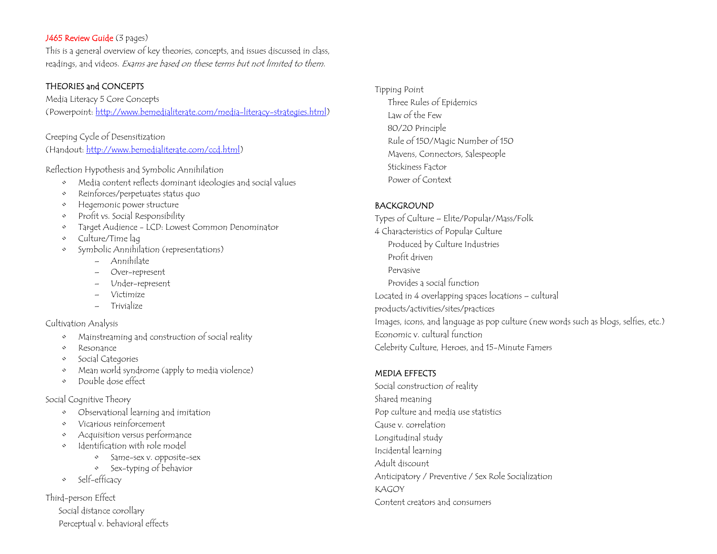### J465 Review Guide (3 pages)

This is a general overview of key theories, concepts, and issues discussed in class, readings, and videos. Exams are based on these terms but not limited to them.

## THEORIES and CONCEPTS

Media Literacy 5 Core Concepts (Powerpoint: http://www.bemedialiterate.com/media-literacy-strategies.html)

Creeping Cycle of Desensitization (Handout: http://www.bemedialiterate.com/ccd.html)

Reflection Hypothesis and Symbolic Annihilation

- $\Diamond$ Media content reflects dominant ideologies and social values
- $\Diamond$ Reinforces/perpetuates status quo
- $\Diamond$ Hegemonic power structure
- $\Diamond$ Profit vs. Social Responsibility
- •Target Audience - LCD: Lowest Common Denominator
- $\Diamond$ Culture/Time lag
- $\Diamond$  Symbolic Annihilation (representations)
	- Annihilate
	- Over-represent
	- Under-represent
	- Victimize
	- Trivialize

Cultivation Analysis

- •Mainstreaming and construction of social reality
- $\Diamond$ Resonance
- $\Diamond$ Social Categories
- $\Diamond$ Mean world syndrome (apply to media violence)
- $\Diamond$ Double dose effect

Social Cognitive Theory

- $\Diamond$ Observational learning and imitation
- $\Diamond$ Vicarious reinforcement
- •Acquisition versus performance
- • Identification with role model
	- •Same-sex v. opposite-sex
	- Sex-typing of behavior
- Self-efficacy

Third-person Effect

 Social distance corollary Perceptual v. behavioral effects Tipping Point Three Rules of Epidemics Law of the Few 80/20 Principle Rule of 150/Magic Number of 150 Mavens, Connectors, Salespeople Stickiness Factor Power of Context

# BACKGROUND

Types of Culture – Elite/Popular/Mass/Folk 4 Characteristics of Popular Culture Produced by Culture Industries Profit driven Pervasive Provides a social function Located in 4 overlapping spaces locations – cultural products/activities/sites/practices Images, icons, and language as pop culture (new words such as blogs, selfies, etc.) Economic v. cultural function Celebrity Culture, Heroes, and 15-Minute Famers

## MEDIA EFFECTS

Social construction of reality Shared meaning Pop culture and media use statistics Cause v. correlation Longitudinal study Incidental learning Adult discount Anticipatory / Preventive / Sex Role Socialization KAGOY Content creators and consumers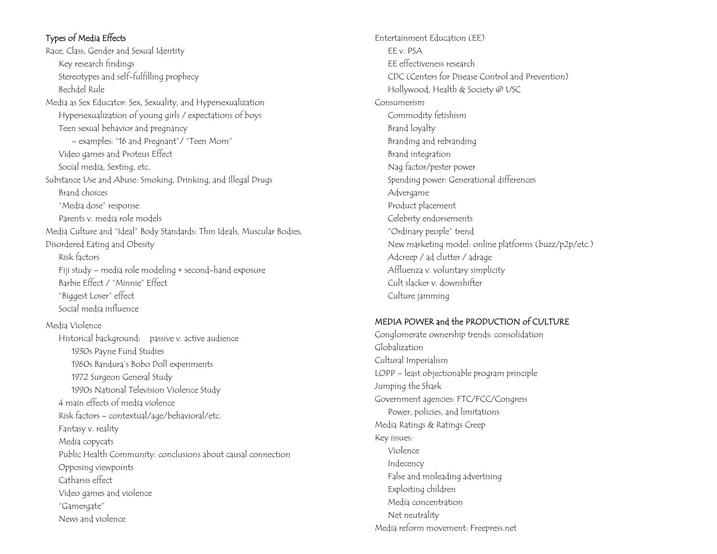# Types of Media Effects

News and violence

Race, Class, Gender and Sexual Identity Key research findings Stereotypes and self-fulfilling prophecy Bechdel Rule Media as Sex Educator: Sex, Sexuality, and Hypersexualization Hypersexualization of young girls / expectations of boys Teen sexual behavior and pregnancy – examples: "16 and Pregnant"/ "Teen Mom" Video games and Proteus Effect Social media, Sexting, etc. Substance Use and Abuse: Smoking, Drinking, and Illegal Drugs Brand choices "Media dose" response Parents v. media role models Media Culture and "Ideal" Body Standards: Thin Ideals, Muscular Bodies, Disordered Eating and Obesity Risk factors Fiji study – media role modeling + second-hand exposure Barbie Effect / "Minnie" Effect "Biggest Loser" effect Social media influence Media Violence Historical background: passive v. active audience 1930s Payne Fund Studies 1960s Bandura's Bobo Doll experiments 1972 Surgeon General Study 1990s National Television Violence Study 4 main effects of media violence Risk factors – contextual/age/behavioral/etc. Fantasy v. reality Media copycats Public Health Community: conclusions about causal connection Opposing viewpoints Catharsis effect Video games and violence "Gamergate"

Entertainment Education (EE) EE v. PSA EE effectiveness research CDC (Centers for Disease Control and Prevention) Hollywood, Health & Society @ USC Consumerism Commodity fetishism Brand loyalty Branding and rebranding Brand integration Nag factor/pester power Spending power: Generational differences Advergame Product placement Celebrity endorsements "Ordinary people" trend New marketing model: online platforms (buzz/p2p/etc.) Adcreep / ad clutter / adrage Affluenza v. voluntary simplicity Cult slacker v. downshifter Culture jamming

### MEDIA POWER and the PRODUCTION of CULTURE

Conglomerate ownership trends: consolidation Globalization Cultural Imperialism LOPP – least objectionable program principle Jumping the Shark Government agencies: FTC/FCC/Congress Power, policies, and limitations Media Ratings & Ratings Creep Key issues: Violence Indecency False and misleading advertising Exploiting children Media concentration Net neutrality Media reform movement: Freepress.net